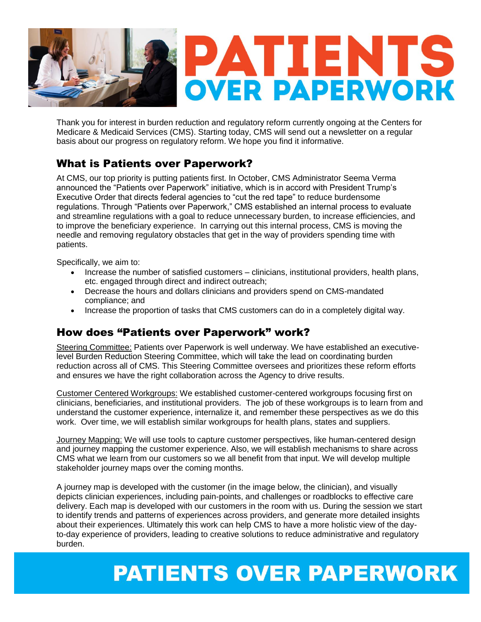

Thank you for interest in burden reduction and regulatory reform currently ongoing at the Centers for Medicare & Medicaid Services (CMS). Starting today, CMS will send out a newsletter on a regular basis about our progress on regulatory reform. We hope you find it informative.

### What is Patients over Paperwork?

At CMS, our top priority is putting patients first. In October, CMS Administrator Seema Verma announced the "Patients over Paperwork" initiative, which is in accord with President Trump's Executive Order that directs federal agencies to "cut the red tape" to reduce burdensome regulations. Through "Patients over Paperwork," CMS established an internal process to evaluate and streamline regulations with a goal to reduce unnecessary burden, to increase efficiencies, and to improve the beneficiary experience. In carrying out this internal process, CMS is moving the needle and removing regulatory obstacles that get in the way of providers spending time with patients.

Specifically, we aim to:

- Increase the number of satisfied customers clinicians, institutional providers, health plans, etc. engaged through direct and indirect outreach;
- Decrease the hours and dollars clinicians and providers spend on CMS-mandated compliance; and
- Increase the proportion of tasks that CMS customers can do in a completely digital way.

### How does "Patients over Paperwork" work?

Steering Committee: Patients over Paperwork is well underway. We have established an executivelevel Burden Reduction Steering Committee, which will take the lead on coordinating burden reduction across all of CMS. This Steering Committee oversees and prioritizes these reform efforts and ensures we have the right collaboration across the Agency to drive results.

Customer Centered Workgroups: We established customer-centered workgroups focusing first on clinicians, beneficiaries, and institutional providers. The job of these workgroups is to learn from and understand the customer experience, internalize it, and remember these perspectives as we do this work. Over time, we will establish similar workgroups for health plans, states and suppliers.

Journey Mapping: We will use tools to capture customer perspectives, like human-centered design and journey mapping the customer experience. Also, we will establish mechanisms to share across CMS what we learn from our customers so we all benefit from that input. We will develop multiple stakeholder journey maps over the coming months.

A journey map is developed with the customer (in the image below, the clinician), and visually depicts clinician experiences, including pain-points, and challenges or roadblocks to effective care delivery. Each map is developed with our customers in the room with us. During the session we start to identify trends and patterns of experiences across providers, and generate more detailed insights about their experiences. Ultimately this work can help CMS to have a more holistic view of the dayto-day experience of providers, leading to creative solutions to reduce administrative and regulatory burden.

# **PATIENTS OVER PAPERWORK**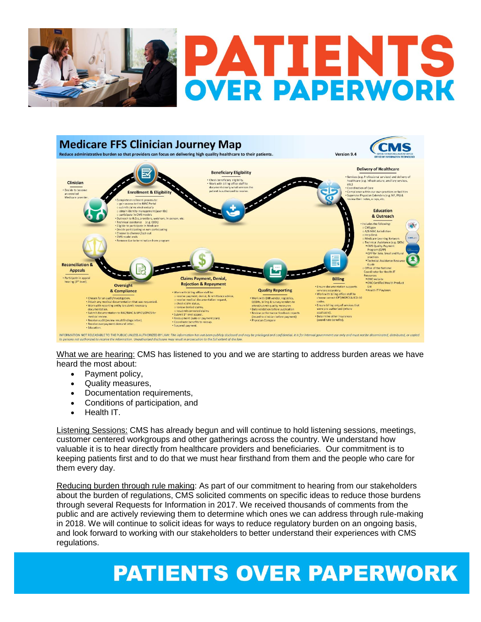



What we are hearing: CMS has listened to you and we are starting to address burden areas we have heard the most about:

- Payment policy,
- Quality measures,
- Documentation requirements,
- Conditions of participation, and
- Health IT.

Listening Sessions: CMS has already begun and will continue to hold listening sessions, meetings, customer centered workgroups and other gatherings across the country. We understand how valuable it is to hear directly from healthcare providers and beneficiaries. Our commitment is to keeping patients first and to do that we must hear firsthand from them and the people who care for them every day.

Reducing burden through rule making: As part of our commitment to hearing from our stakeholders about the burden of regulations, CMS solicited comments on specific ideas to reduce those burdens through several Requests for Information in 2017. We received thousands of comments from the public and are actively reviewing them to determine which ones we can address through rule-making in 2018. We will continue to solicit ideas for ways to reduce regulatory burden on an ongoing basis, and look forward to working with our stakeholders to better understand their experiences with CMS regulations.

## **PATIENTS OVER PAPERWORK**